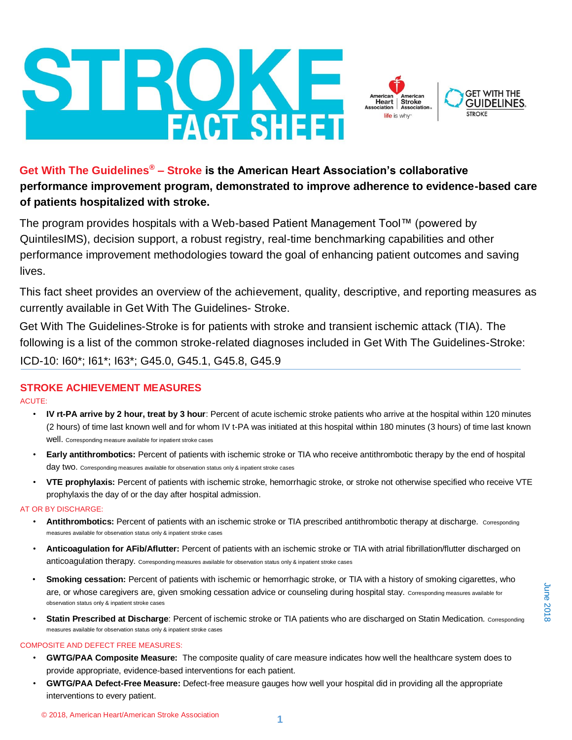# **Get With The Guidelines® – Stroke is the American Heart Association's collaborative performance improvement program, demonstrated to improve adherence to evidence-based care of patients hospitalized with stroke.**

The program provides hospitals with a Web-based Patient Management Tool™ (powered by QuintilesIMS), decision support, a robust registry, real-time benchmarking capabilities and other performance improvement methodologies toward the goal of enhancing patient outcomes and saving lives.

This fact sheet provides an overview of the achievement, quality, descriptive, and reporting measures as currently available in Get With The Guidelines- Stroke.

Get With The Guidelines-Stroke is for patients with stroke and transient ischemic attack (TIA). The following is a list of the common stroke-related diagnoses included in Get With The Guidelines-Stroke: ICD-10: I60\*; I61\*; I63\*; G45.0, G45.1, G45.8, G45.9

# **STROKE ACHIEVEMENT MEASURES**

ACUTE:

- **IV rt-PA arrive by 2 hour, treat by 3 hour**: Percent of acute ischemic stroke patients who arrive at the hospital within 120 minutes (2 hours) of time last known well and for whom IV t-PA was initiated at this hospital within 180 minutes (3 hours) of time last known well. Corresponding measure available for inpatient stroke cases
- **Early antithrombotics:** Percent of patients with ischemic stroke or TIA who receive antithrombotic therapy by the end of hospital day two. Corresponding measures available for observation status only & inpatient stroke cases
- **VTE prophylaxis:** Percent of patients with ischemic stroke, hemorrhagic stroke, or stroke not otherwise specified who receive VTE prophylaxis the day of or the day after hospital admission.

## AT OR BY DISCHARGE:

- Antithrombotics: Percent of patients with an ischemic stroke or TIA prescribed antithrombotic therapy at discharge. Corresponding measures available for observation status only & inpatient stroke cases
- **Anticoagulation for AFib/Aflutter:** Percent of patients with an ischemic stroke or TIA with atrial fibrillation/flutter discharged on anticoagulation therapy. Corresponding measures available for observation status only & inpatient stroke cases
- **Smoking cessation:** Percent of patients with ischemic or hemorrhagic stroke, or TIA with a history of smoking cigarettes, who are, or whose caregivers are, given smoking cessation advice or counseling during hospital stay. Corresponding measures available for observation status only & inpatient stroke cases
- **Statin Prescribed at Discharge**: Percent of ischemic stroke or TIA patients who are discharged on Statin Medication. Corresponding measures available for observation status only & inpatient stroke cases

#### COMPOSITE AND DEFECT FREE MEASURES:

- **GWTG/PAA Composite Measure:** The composite quality of care measure indicates how well the healthcare system does to provide appropriate, evidence-based interventions for each patient.
- **GWTG/PAA Defect-Free Measure:** Defect-free measure gauges how well your hospital did in providing all the appropriate interventions to every patient.



 $Heart$ 

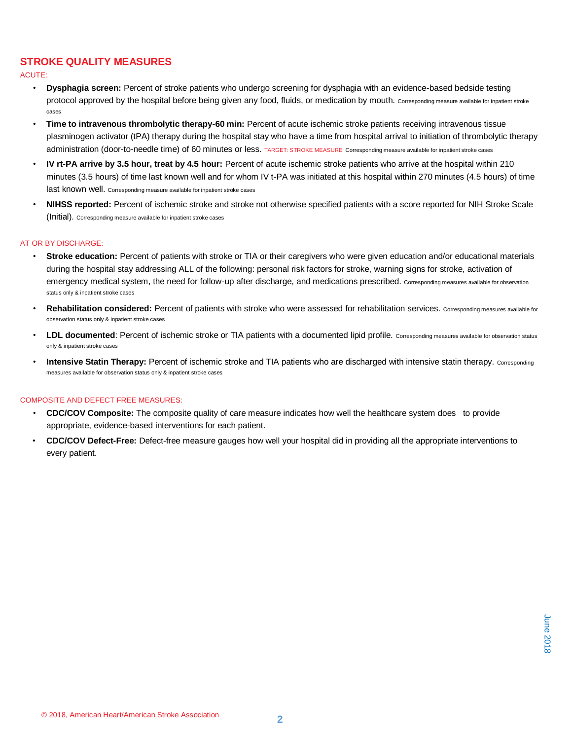# **STROKE QUALITY MEASURES**

#### ACUTE:

- **Dysphagia screen:** Percent of stroke patients who undergo screening for dysphagia with an evidence-based bedside testing protocol approved by the hospital before being given any food, fluids, or medication by mouth. Corresponding measure available for inpatient stroke cases
- **Time to intravenous thrombolytic therapy-60 min:** Percent of acute ischemic stroke patients receiving intravenous tissue plasminogen activator (tPA) therapy during the hospital stay who have a time from hospital arrival to initiation of thrombolytic therapy administration (door-to-needle time) of 60 minutes or less. TARGET: STROKE MEASURE Corresponding measure available for inpatient stroke cases
- **IV rt-PA arrive by 3.5 hour, treat by 4.5 hour:** Percent of acute ischemic stroke patients who arrive at the hospital within 210 minutes (3.5 hours) of time last known well and for whom IV t-PA was initiated at this hospital within 270 minutes (4.5 hours) of time last known well. Corresponding measure available for inpatient stroke cases
- **NIHSS reported:** Percent of ischemic stroke and stroke not otherwise specified patients with a score reported for NIH Stroke Scale (Initial). Corresponding measure available for inpatient stroke cases

#### AT OR BY DISCHARGE:

- **Stroke education:** Percent of patients with stroke or TIA or their caregivers who were given education and/or educational materials during the hospital stay addressing ALL of the following: personal risk factors for stroke, warning signs for stroke, activation of emergency medical system, the need for follow-up after discharge, and medications prescribed. Corresponding measures available for observation status only & inpatient stroke cases
- **Rehabilitation considered:** Percent of patients with stroke who were assessed for rehabilitation services. Corresponding measures available for observation status only & inpatient stroke cases
- **LDL documented**: Percent of ischemic stroke or TIA patients with a documented lipid profile. Corresponding measures available for observation status only & inpatient stroke cases
- **Intensive Statin Therapy:** Percent of ischemic stroke and TIA patients who are discharged with intensive statin therapy. Corresponding measures available for observation status only & inpatient stroke cases

#### COMPOSITE AND DEFECT FREE MEASURES:

- **CDC/COV Composite:** The composite quality of care measure indicates how well the healthcare system does to provide appropriate, evidence-based interventions for each patient.
- **CDC/COV Defect-Free:** Defect-free measure gauges how well your hospital did in providing all the appropriate interventions to every patient.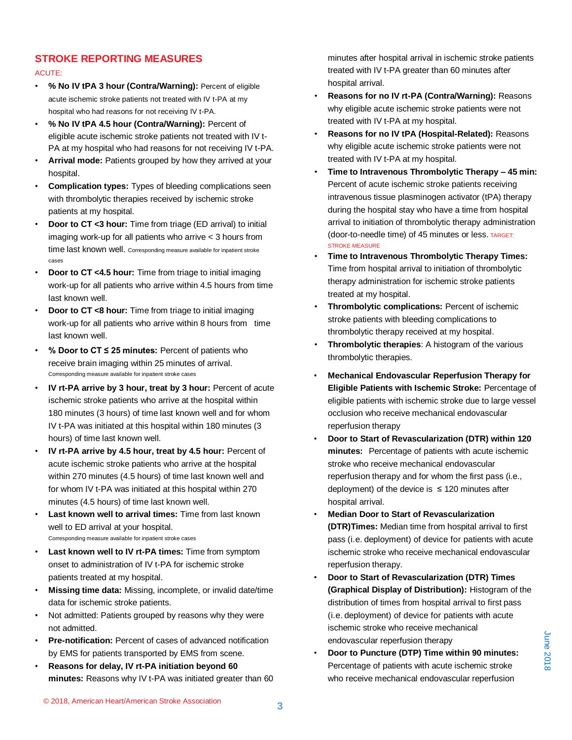# **STROKE REPORTING MEASURES**

#### ACUTE:

- **% No IV tPA 3 hour (Contra/Warning):** Percent of eligible acute ischemic stroke patients not treated with IV t-PA at my hospital who had reasons for not receiving IV t-PA.
- **% No IV tPA 4.5 hour (Contra/Warning):** Percent of eligible acute ischemic stroke patients not treated with IV t-PA at my hospital who had reasons for not receiving IV t-PA.
- **Arrival mode:** Patients grouped by how they arrived at your hospital.
- **Complication types:** Types of bleeding complications seen with thrombolytic therapies received by ischemic stroke patients at my hospital.
- **Door to CT <3 hour:** Time from triage (ED arrival) to initial imaging work-up for all patients who arrive < 3 hours from time last known well. Corresponding measure available for inpatient stroke cases
- **Door to CT <4.5 hour:** Time from triage to initial imaging work-up for all patients who arrive within 4.5 hours from time last known well.
- **Door to CT <8 hour:** Time from triage to initial imaging work-up for all patients who arrive within 8 hours from time last known well.
- **% Door to CT ≤ 25 minutes:** Percent of patients who receive brain imaging within 25 minutes of arrival. Corresponding measure available for inpatient stroke cases
- **IV rt-PA arrive by 3 hour, treat by 3 hour:** Percent of acute ischemic stroke patients who arrive at the hospital within 180 minutes (3 hours) of time last known well and for whom IV t-PA was initiated at this hospital within 180 minutes (3 hours) of time last known well.
- **IV rt-PA arrive by 4.5 hour, treat by 4.5 hour:** Percent of acute ischemic stroke patients who arrive at the hospital within 270 minutes (4.5 hours) of time last known well and for whom IV t-PA was initiated at this hospital within 270 minutes (4.5 hours) of time last known well.
- **Last known well to arrival times:** Time from last known well to ED arrival at your hospital. Corresponding measure available for inpatient stroke cases
- **Last known well to IV rt-PA times:** Time from symptom onset to administration of IV t-PA for ischemic stroke patients treated at my hospital.
- **Missing time data:** Missing, incomplete, or invalid date/time data for ischemic stroke patients.
- Not admitted: Patients grouped by reasons why they were not admitted.
- **Pre-notification:** Percent of cases of advanced notification by EMS for patients transported by EMS from scene.
- **Reasons for delay, IV rt-PA initiation beyond 60 minutes:** Reasons why IV t-PA was initiated greater than 60

minutes after hospital arrival in ischemic stroke patients treated with IV t-PA greater than 60 minutes after hospital arrival.

- **Reasons for no IV rt-PA (Contra/Warning):** Reasons why eligible acute ischemic stroke patients were not treated with IV t-PA at my hospital.
- **Reasons for no IV tPA (Hospital-Related):** Reasons why eligible acute ischemic stroke patients were not treated with IV t-PA at my hospital.
- **Time to Intravenous Thrombolytic Therapy – 45 min:** Percent of acute ischemic stroke patients receiving intravenous tissue plasminogen activator (tPA) therapy during the hospital stay who have a time from hospital arrival to initiation of thrombolytic therapy administration (door-to-needle time) of 45 minutes or less. TARGET: STROKE MEASURE
- **Time to Intravenous Thrombolytic Therapy Times:**  Time from hospital arrival to initiation of thrombolytic therapy administration for ischemic stroke patients treated at my hospital.
- **Thrombolytic complications:** Percent of ischemic stroke patients with bleeding complications to thrombolytic therapy received at my hospital.
- **Thrombolytic therapies**: A histogram of the various thrombolytic therapies.
- **Mechanical Endovascular Reperfusion Therapy for Eligible Patients with Ischemic Stroke:** Percentage of eligible patients with ischemic stroke due to large vessel occlusion who receive mechanical endovascular reperfusion therapy
- **Door to Start of Revascularization (DTR) within 120 minutes:** Percentage of patients with acute ischemic stroke who receive mechanical endovascular reperfusion therapy and for whom the first pass (i.e., deployment) of the device is  $\leq$  120 minutes after hospital arrival.
- **Median Door to Start of Revascularization (DTR)Times:** Median time from hospital arrival to first pass (i.e. deployment) of device for patients with acute ischemic stroke who receive mechanical endovascular reperfusion therapy.
- **Door to Start of Revascularization (DTR) Times (Graphical Display of Distribution):** Histogram of the distribution of times from hospital arrival to first pass (i.e. deployment) of device for patients with acute ischemic stroke who receive mechanical endovascular reperfusion therapy
- **Door to Puncture (DTP) Time within 90 minutes:**  Percentage of patients with acute ischemic stroke who receive mechanical endovascular reperfusion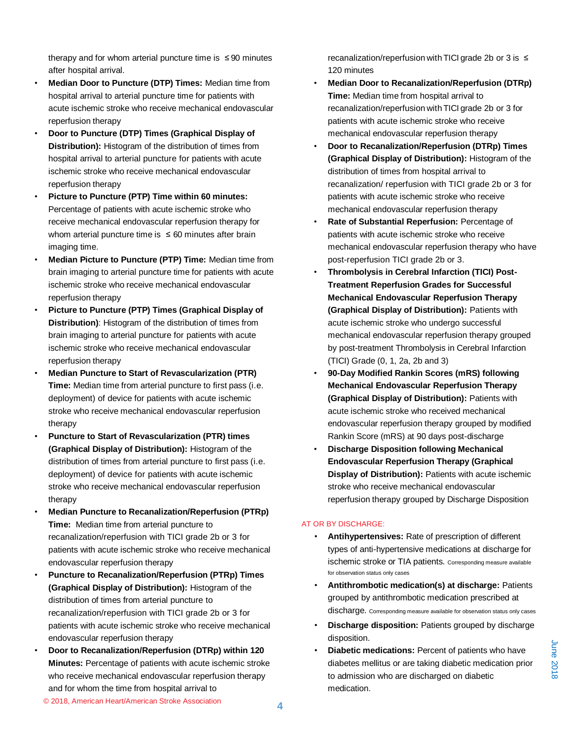therapy and for whom arterial puncture time is  $\leq 90$  minutes after hospital arrival.

- **Median Door to Puncture (DTP) Times:** Median time from hospital arrival to arterial puncture time for patients with acute ischemic stroke who receive mechanical endovascular reperfusion therapy
- **Door to Puncture (DTP) Times (Graphical Display of Distribution):** Histogram of the distribution of times from hospital arrival to arterial puncture for patients with acute ischemic stroke who receive mechanical endovascular reperfusion therapy
- **Picture to Puncture (PTP) Time within 60 minutes:**  Percentage of patients with acute ischemic stroke who receive mechanical endovascular reperfusion therapy for whom arterial puncture time is  $\leq 60$  minutes after brain imaging time.
- **Median Picture to Puncture (PTP) Time:** Median time from brain imaging to arterial puncture time for patients with acute ischemic stroke who receive mechanical endovascular reperfusion therapy
- **Picture to Puncture (PTP) Times (Graphical Display of Distribution)**: Histogram of the distribution of times from brain imaging to arterial puncture for patients with acute ischemic stroke who receive mechanical endovascular reperfusion therapy
- **Median Puncture to Start of Revascularization (PTR) Time:** Median time from arterial puncture to first pass (i.e. deployment) of device for patients with acute ischemic stroke who receive mechanical endovascular reperfusion therapy
- **Puncture to Start of Revascularization (PTR) times (Graphical Display of Distribution):** Histogram of the distribution of times from arterial puncture to first pass (i.e. deployment) of device for patients with acute ischemic stroke who receive mechanical endovascular reperfusion therapy
- **Median Puncture to Recanalization/Reperfusion (PTRp) Time:** Median time from arterial puncture to recanalization/reperfusion with TICI grade 2b or 3 for patients with acute ischemic stroke who receive mechanical endovascular reperfusion therapy
- **Puncture to Recanalization/Reperfusion (PTRp) Times (Graphical Display of Distribution):** Histogram of the distribution of times from arterial puncture to recanalization/reperfusion with TICI grade 2b or 3 for patients with acute ischemic stroke who receive mechanical endovascular reperfusion therapy
- **Door to Recanalization/Reperfusion (DTRp) within 120 Minutes:** Percentage of patients with acute ischemic stroke who receive mechanical endovascular reperfusion therapy and for whom the time from hospital arrival to

recanalization/reperfusion with TICI grade 2b or 3 is ≤ 120 minutes

- **Median Door to Recanalization/Reperfusion (DTRp) Time:** Median time from hospital arrival to recanalization/reperfusion with TICI grade 2b or 3 for patients with acute ischemic stroke who receive mechanical endovascular reperfusion therapy
- **Door to Recanalization/Reperfusion (DTRp) Times (Graphical Display of Distribution):** Histogram of the distribution of times from hospital arrival to recanalization/ reperfusion with TICI grade 2b or 3 for patients with acute ischemic stroke who receive mechanical endovascular reperfusion therapy
- **Rate of Substantial Reperfusion:** Percentage of patients with acute ischemic stroke who receive mechanical endovascular reperfusion therapy who have post-reperfusion TICI grade 2b or 3.
- **Thrombolysis in Cerebral Infarction (TICI) Post-Treatment Reperfusion Grades for Successful Mechanical Endovascular Reperfusion Therapy (Graphical Display of Distribution):** Patients with acute ischemic stroke who undergo successful mechanical endovascular reperfusion therapy grouped by post-treatment Thrombolysis in Cerebral Infarction (TICI) Grade (0, 1, 2a, 2b and 3)
- **90-Day Modified Rankin Scores (mRS) following Mechanical Endovascular Reperfusion Therapy (Graphical Display of Distribution):** Patients with acute ischemic stroke who received mechanical endovascular reperfusion therapy grouped by modified Rankin Score (mRS) at 90 days post-discharge
- **Discharge Disposition following Mechanical Endovascular Reperfusion Therapy (Graphical Display of Distribution):** Patients with acute ischemic stroke who receive mechanical endovascular reperfusion therapy grouped by Discharge Disposition

#### AT OR BY DISCHARGE:

- **Antihypertensives:** Rate of prescription of different types of anti-hypertensive medications at discharge for ischemic stroke or TIA patients. Corresponding measure available for observation status only cases
- **Antithrombotic medication(s) at discharge:** Patients grouped by antithrombotic medication prescribed at discharge. Corresponding measure available for observation status only cases
- **Discharge disposition:** Patients grouped by discharge disposition.
- **Diabetic medications:** Percent of patients who have diabetes mellitus or are taking diabetic medication prior to admission who are discharged on diabetic medication.

June 2018 June 2018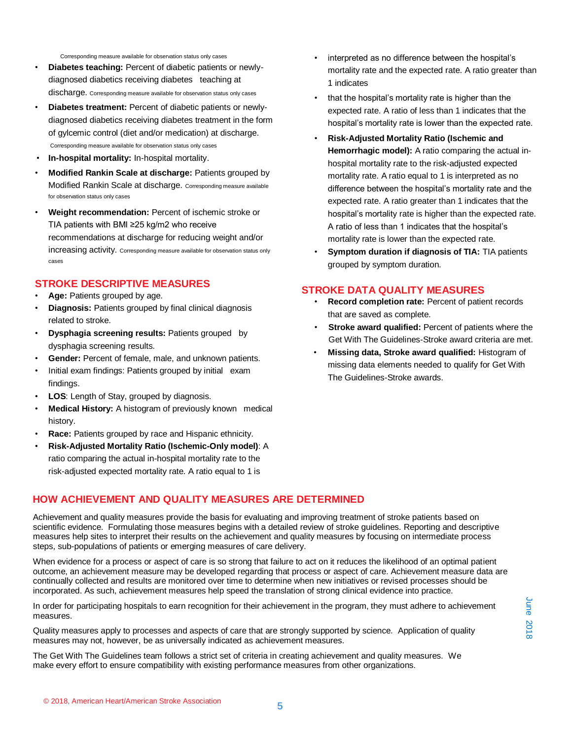Corresponding measure available for observation status only cases

- **Diabetes teaching:** Percent of diabetic patients or newlydiagnosed diabetics receiving diabetes teaching at discharge. Corresponding measure available for observation status only cases
- **Diabetes treatment:** Percent of diabetic patients or newlydiagnosed diabetics receiving diabetes treatment in the form of gylcemic control (diet and/or medication) at discharge. Corresponding measure available for observation status only cases
- **In-hospital mortality:** In-hospital mortality.
- **Modified Rankin Scale at discharge:** Patients grouped by Modified Rankin Scale at discharge. Corresponding measure available for observation status only cases
- **Weight recommendation:** Percent of ischemic stroke or TIA patients with BMI ≥25 kg/m2 who receive recommendations at discharge for reducing weight and/or increasing activity. Corresponding measure available for observation status only cases

# **STROKE DESCRIPTIVE MEASURES**

- **Age:** Patients grouped by age.
- **Diagnosis:** Patients grouped by final clinical diagnosis related to stroke.
- **Dysphagia screening results:** Patients grouped by dysphagia screening results.
- **Gender:** Percent of female, male, and unknown patients.
- Initial exam findings: Patients grouped by initial exam findings.
- **LOS**: Length of Stay, grouped by diagnosis.
- **Medical History:** A histogram of previously known medical history.
- **Race:** Patients grouped by race and Hispanic ethnicity.
- **Risk-Adjusted Mortality Ratio (Ischemic-Only model)**: A ratio comparing the actual in-hospital mortality rate to the risk-adjusted expected mortality rate. A ratio equal to 1 is
- interpreted as no difference between the hospital's mortality rate and the expected rate. A ratio greater than 1 indicates
- that the hospital's mortality rate is higher than the expected rate. A ratio of less than 1 indicates that the hospital's mortality rate is lower than the expected rate.
- **Risk-Adjusted Mortality Ratio (Ischemic and Hemorrhagic model):** A ratio comparing the actual inhospital mortality rate to the risk-adjusted expected mortality rate. A ratio equal to 1 is interpreted as no difference between the hospital's mortality rate and the expected rate. A ratio greater than 1 indicates that the hospital's mortality rate is higher than the expected rate. A ratio of less than 1 indicates that the hospital's mortality rate is lower than the expected rate.
- **Symptom duration if diagnosis of TIA:** TIA patients grouped by symptom duration.

### **STROKE DATA QUALITY MEASURES**

- **Record completion rate:** Percent of patient records that are saved as complete.
- **Stroke award qualified:** Percent of patients where the Get With The Guidelines-Stroke award criteria are met.
- **Missing data, Stroke award qualified:** Histogram of missing data elements needed to qualify for Get With The Guidelines-Stroke awards.

# **HOW ACHIEVEMENT AND QUALITY MEASURES ARE DETERMINED**

Achievement and quality measures provide the basis for evaluating and improving treatment of stroke patients based on scientific evidence. Formulating those measures begins with a detailed review of stroke guidelines. Reporting and descriptive measures help sites to interpret their results on the achievement and quality measures by focusing on intermediate process steps, sub-populations of patients or emerging measures of care delivery.

When evidence for a process or aspect of care is so strong that failure to act on it reduces the likelihood of an optimal patient outcome, an achievement measure may be developed regarding that process or aspect of care. Achievement measure data are continually collected and results are monitored over time to determine when new initiatives or revised processes should be incorporated. As such, achievement measures help speed the translation of strong clinical evidence into practice.

In order for participating hospitals to earn recognition for their achievement in the program, they must adhere to achievement measures.

Quality measures apply to processes and aspects of care that are strongly supported by science. Application of quality measures may not, however, be as universally indicated as achievement measures.

The Get With The Guidelines team follows a strict set of criteria in creating achievement and quality measures. We make every effort to ensure compatibility with existing performance measures from other organizations.